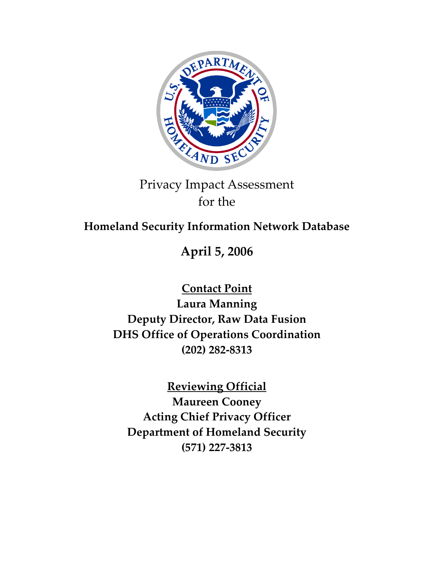

# Privacy Impact Assessment for the

## **Homeland Security Information Network Database**

**April 5, 2006**

**Contact Point Laura Manning Deputy Director, Raw Data Fusion DHS Office of Operations Coordination (202) 282‐8313**

**Reviewing Official**

**Maureen Cooney Acting Chief Privacy Officer Department of Homeland Security (571) 227‐3813**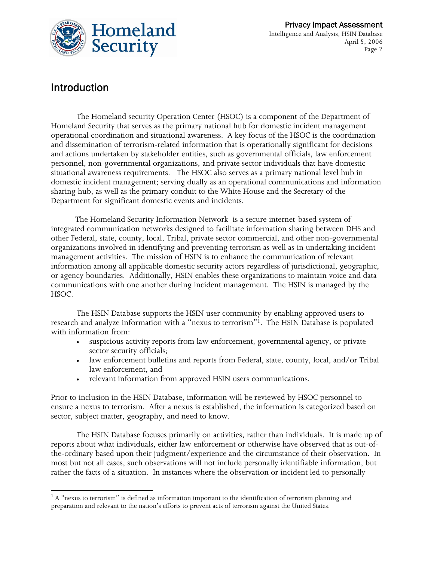

## Introduction

 $\overline{a}$ 

The Homeland security Operation Center (HSOC) is a component of the Department of Homeland Security that serves as the primary national hub for domestic incident management operational coordination and situational awareness. A key focus of the HSOC is the coordination and dissemination of terrorism-related information that is operationally significant for decisions and actions undertaken by stakeholder entities, such as governmental officials, law enforcement personnel, non-governmental organizations, and private sector individuals that have domestic situational awareness requirements. The HSOC also serves as a primary national level hub in domestic incident management; serving dually as an operational communications and information sharing hub, as well as the primary conduit to the White House and the Secretary of the Department for significant domestic events and incidents.

 The Homeland Security Information Network is a secure internet-based system of integrated communication networks designed to facilitate information sharing between DHS and other Federal, state, county, local, Tribal, private sector commercial, and other non-governmental organizations involved in identifying and preventing terrorism as well as in undertaking incident management activities. The mission of HSIN is to enhance the communication of relevant information among all applicable domestic security actors regardless of jurisdictional, geographic, or agency boundaries. Additionally, HSIN enables these organizations to maintain voice and data communications with one another during incident management. The HSIN is managed by the HSOC.

The HSIN Database supports the HSIN user community by enabling approved users to research and analyze information with a "nexus to terrorism"1. The HSIN Database is populated with information from:

- suspicious activity reports from law enforcement, governmental agency, or private sector security officials;
- law enforcement bulletins and reports from Federal, state, county, local, and/or Tribal law enforcement, and
- relevant information from approved HSIN users communications.

Prior to inclusion in the HSIN Database, information will be reviewed by HSOC personnel to ensure a nexus to terrorism. After a nexus is established, the information is categorized based on sector, subject matter, geography, and need to know.

The HSIN Database focuses primarily on activities, rather than individuals. It is made up of reports about what individuals, either law enforcement or otherwise have observed that is out-ofthe-ordinary based upon their judgment/experience and the circumstance of their observation. In most but not all cases, such observations will not include personally identifiable information, but rather the facts of a situation. In instances where the observation or incident led to personally

 $1$  A "nexus to terrorism" is defined as information important to the identification of terrorism planning and preparation and relevant to the nation's efforts to prevent acts of terrorism against the United States.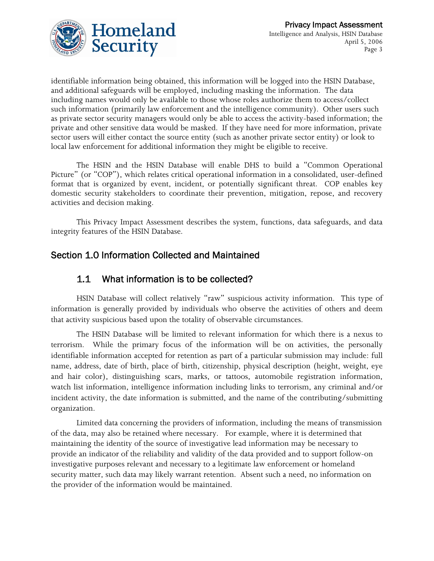

identifiable information being obtained, this information will be logged into the HSIN Database, and additional safeguards will be employed, including masking the information. The data including names would only be available to those whose roles authorize them to access/collect such information (primarily law enforcement and the intelligence community). Other users such as private sector security managers would only be able to access the activity-based information; the private and other sensitive data would be masked. If they have need for more information, private sector users will either contact the source entity (such as another private sector entity) or look to local law enforcement for additional information they might be eligible to receive.

 The HSIN and the HSIN Database will enable DHS to build a "Common Operational Picture" (or "COP"), which relates critical operational information in a consolidated, user-defined format that is organized by event, incident, or potentially significant threat. COP enables key domestic security stakeholders to coordinate their prevention, mitigation, repose, and recovery activities and decision making.

This Privacy Impact Assessment describes the system, functions, data safeguards, and data integrity features of the HSIN Database.

#### Section 1.0 Information Collected and Maintained

#### 1.1 What information is to be collected?

HSIN Database will collect relatively "raw" suspicious activity information. This type of information is generally provided by individuals who observe the activities of others and deem that activity suspicious based upon the totality of observable circumstances.

 The HSIN Database will be limited to relevant information for which there is a nexus to terrorism. While the primary focus of the information will be on activities, the personally identifiable information accepted for retention as part of a particular submission may include: full name, address, date of birth, place of birth, citizenship, physical description (height, weight, eye and hair color), distinguishing scars, marks, or tattoos, automobile registration information, watch list information, intelligence information including links to terrorism, any criminal and/or incident activity, the date information is submitted, and the name of the contributing/submitting organization.

Limited data concerning the providers of information, including the means of transmission of the data, may also be retained where necessary. For example, where it is determined that maintaining the identity of the source of investigative lead information may be necessary to provide an indicator of the reliability and validity of the data provided and to support follow-on investigative purposes relevant and necessary to a legitimate law enforcement or homeland security matter, such data may likely warrant retention. Absent such a need, no information on the provider of the information would be maintained.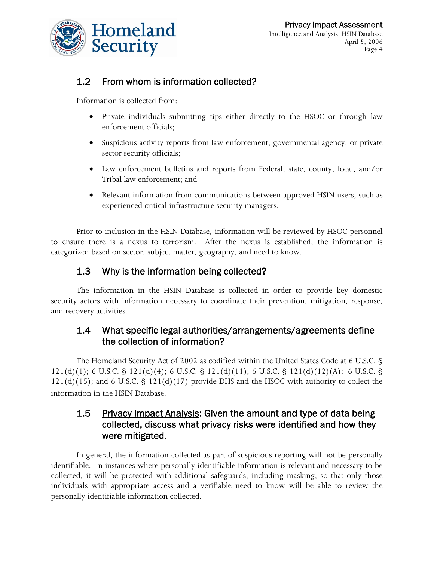

#### 1.2 From whom is information collected?

Information is collected from:

- Private individuals submitting tips either directly to the HSOC or through law enforcement officials;
- Suspicious activity reports from law enforcement, governmental agency, or private sector security officials;
- Law enforcement bulletins and reports from Federal, state, county, local, and/or Tribal law enforcement; and
- Relevant information from communications between approved HSIN users, such as experienced critical infrastructure security managers.

Prior to inclusion in the HSIN Database, information will be reviewed by HSOC personnel to ensure there is a nexus to terrorism. After the nexus is established, the information is categorized based on sector, subject matter, geography, and need to know.

## 1.3 Why is the information being collected?

The information in the HSIN Database is collected in order to provide key domestic security actors with information necessary to coordinate their prevention, mitigation, response, and recovery activities.

#### 1.4 What specific legal authorities/arrangements/agreements define the collection of information?

The Homeland Security Act of 2002 as codified within the United States Code at 6 U.S.C. § 121(d)(1); 6 U.S.C. § 121(d)(4); 6 U.S.C. § 121(d)(11); 6 U.S.C. § 121(d)(12)(A); 6 U.S.C. §  $121(d)(15)$ ; and 6 U.S.C. §  $121(d)(17)$  provide DHS and the HSOC with authority to collect the information in the HSIN Database.

#### 1.5 Privacy Impact Analysis: Given the amount and type of data being collected, discuss what privacy risks were identified and how they were mitigated.

In general, the information collected as part of suspicious reporting will not be personally identifiable. In instances where personally identifiable information is relevant and necessary to be collected, it will be protected with additional safeguards, including masking, so that only those individuals with appropriate access and a verifiable need to know will be able to review the personally identifiable information collected.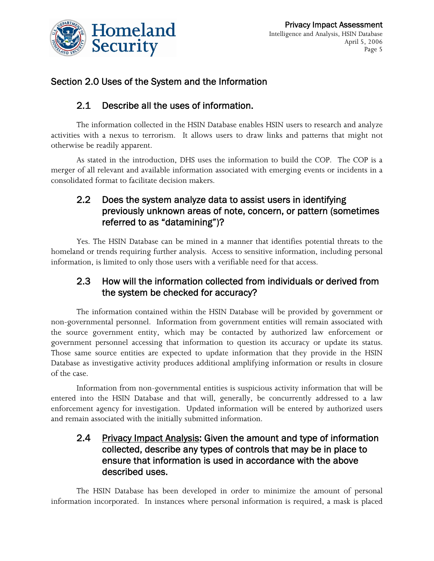

## Section 2.0 Uses of the System and the Information

#### 2.1 Describe all the uses of information.

The information collected in the HSIN Database enables HSIN users to research and analyze activities with a nexus to terrorism. It allows users to draw links and patterns that might not otherwise be readily apparent.

As stated in the introduction, DHS uses the information to build the COP. The COP is a merger of all relevant and available information associated with emerging events or incidents in a consolidated format to facilitate decision makers.

#### 2.2 Does the system analyze data to assist users in identifying previously unknown areas of note, concern, or pattern (sometimes referred to as "datamining")?

Yes. The HSIN Database can be mined in a manner that identifies potential threats to the homeland or trends requiring further analysis. Access to sensitive information, including personal information, is limited to only those users with a verifiable need for that access.

#### 2.3 How will the information collected from individuals or derived from the system be checked for accuracy?

The information contained within the HSIN Database will be provided by government or non-governmental personnel. Information from government entities will remain associated with the source government entity, which may be contacted by authorized law enforcement or government personnel accessing that information to question its accuracy or update its status. Those same source entities are expected to update information that they provide in the HSIN Database as investigative activity produces additional amplifying information or results in closure of the case.

Information from non-governmental entities is suspicious activity information that will be entered into the HSIN Database and that will, generally, be concurrently addressed to a law enforcement agency for investigation. Updated information will be entered by authorized users and remain associated with the initially submitted information.

#### 2.4 Privacy Impact Analysis: Given the amount and type of information collected, describe any types of controls that may be in place to ensure that information is used in accordance with the above described uses.

The HSIN Database has been developed in order to minimize the amount of personal information incorporated. In instances where personal information is required, a mask is placed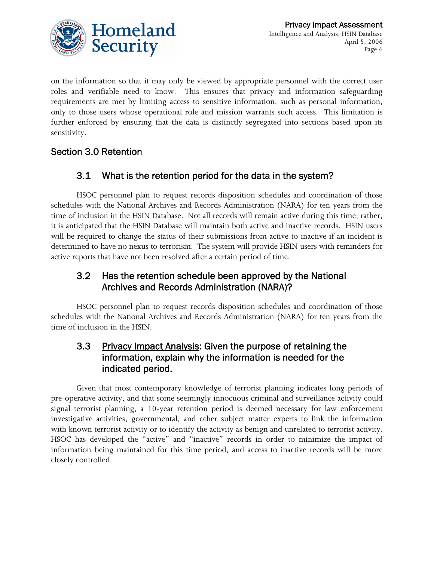

on the information so that it may only be viewed by appropriate personnel with the correct user roles and verifiable need to know. This ensures that privacy and information safeguarding requirements are met by limiting access to sensitive information, such as personal information, only to those users whose operational role and mission warrants such access. This limitation is further enforced by ensuring that the data is distinctly segregated into sections based upon its sensitivity.

## Section 3.0 Retention

## 3.1 What is the retention period for the data in the system?

HSOC personnel plan to request records disposition schedules and coordination of those schedules with the National Archives and Records Administration (NARA) for ten years from the time of inclusion in the HSIN Database. Not all records will remain active during this time; rather, it is anticipated that the HSIN Database will maintain both active and inactive records. HSIN users will be required to change the status of their submissions from active to inactive if an incident is determined to have no nexus to terrorism. The system will provide HSIN users with reminders for active reports that have not been resolved after a certain period of time.

#### 3.2 Has the retention schedule been approved by the National Archives and Records Administration (NARA)?

HSOC personnel plan to request records disposition schedules and coordination of those schedules with the National Archives and Records Administration (NARA) for ten years from the time of inclusion in the HSIN.

#### 3.3 Privacy Impact Analysis: Given the purpose of retaining the information, explain why the information is needed for the indicated period.

Given that most contemporary knowledge of terrorist planning indicates long periods of pre-operative activity, and that some seemingly innocuous criminal and surveillance activity could signal terrorist planning, a 10-year retention period is deemed necessary for law enforcement investigative activities, governmental, and other subject matter experts to link the information with known terrorist activity or to identify the activity as benign and unrelated to terrorist activity. HSOC has developed the "active" and "inactive" records in order to minimize the impact of information being maintained for this time period, and access to inactive records will be more closely controlled.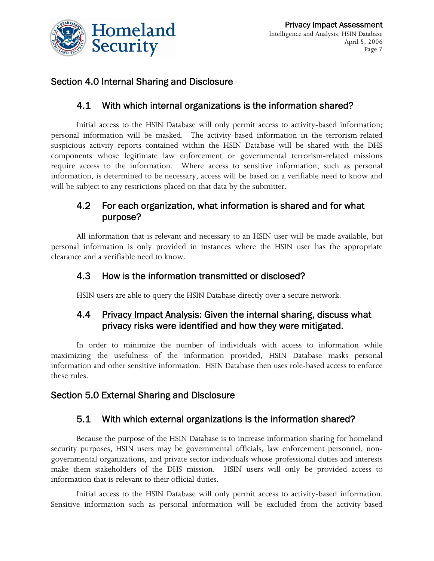

#### Section 4.0 Internal Sharing and Disclosure

#### 4.1 With which internal organizations is the information shared?

Initial access to the HSIN Database will only permit access to activity-based information; personal information will be masked. The activity-based information in the terrorism-related suspicious activity reports contained within the HSIN Database will be shared with the DHS components whose legitimate law enforcement or governmental terrorism-related missions require access to the information. Where access to sensitive information, such as personal information, is determined to be necessary, access will be based on a verifiable need to know and will be subject to any restrictions placed on that data by the submitter.

#### 4.2 For each organization, what information is shared and for what purpose?

All information that is relevant and necessary to an HSIN user will be made available, but personal information is only provided in instances where the HSIN user has the appropriate clearance and a verifiable need to know.

#### 4.3 How is the information transmitted or disclosed?

HSIN users are able to query the HSIN Database directly over a secure network.

#### 4.4 Privacy Impact Analysis: Given the internal sharing, discuss what privacy risks were identified and how they were mitigated.

In order to minimize the number of individuals with access to information while maximizing the usefulness of the information provided, HSIN Database masks personal information and other sensitive information. HSIN Database then uses role-based access to enforce these rules.

#### Section 5.0 External Sharing and Disclosure

#### 5.1 With which external organizations is the information shared?

Because the purpose of the HSIN Database is to increase information sharing for homeland security purposes, HSIN users may be governmental officials, law enforcement personnel, nongovernmental organizations, and private sector individuals whose professional duties and interests make them stakeholders of the DHS mission. HSIN users will only be provided access to information that is relevant to their official duties.

Initial access to the HSIN Database will only permit access to activity-based information. Sensitive information such as personal information will be excluded from the activity-based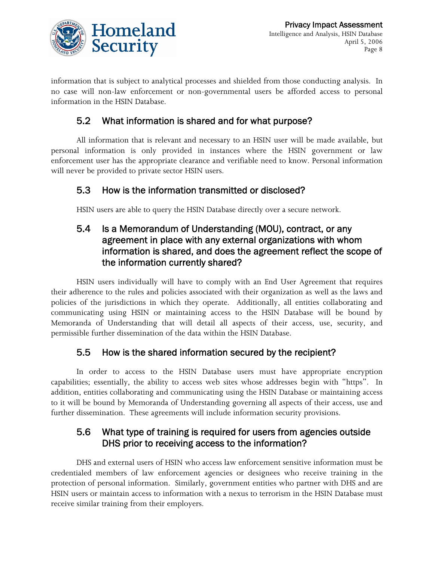

information that is subject to analytical processes and shielded from those conducting analysis. In no case will non-law enforcement or non-governmental users be afforded access to personal information in the HSIN Database.

#### 5.2 What information is shared and for what purpose?

All information that is relevant and necessary to an HSIN user will be made available, but personal information is only provided in instances where the HSIN government or law enforcement user has the appropriate clearance and verifiable need to know. Personal information will never be provided to private sector HSIN users.

#### 5.3 How is the information transmitted or disclosed?

HSIN users are able to query the HSIN Database directly over a secure network.

#### 5.4 Is a Memorandum of Understanding (MOU), contract, or any agreement in place with any external organizations with whom information is shared, and does the agreement reflect the scope of the information currently shared?

HSIN users individually will have to comply with an End User Agreement that requires their adherence to the rules and policies associated with their organization as well as the laws and policies of the jurisdictions in which they operate. Additionally, all entities collaborating and communicating using HSIN or maintaining access to the HSIN Database will be bound by Memoranda of Understanding that will detail all aspects of their access, use, security, and permissible further dissemination of the data within the HSIN Database.

#### 5.5 How is the shared information secured by the recipient?

In order to access to the HSIN Database users must have appropriate encryption capabilities; essentially, the ability to access web sites whose addresses begin with "https". In addition, entities collaborating and communicating using the HSIN Database or maintaining access to it will be bound by Memoranda of Understanding governing all aspects of their access, use and further dissemination. These agreements will include information security provisions.

#### 5.6 What type of training is required for users from agencies outside DHS prior to receiving access to the information?

DHS and external users of HSIN who access law enforcement sensitive information must be credentialed members of law enforcement agencies or designees who receive training in the protection of personal information. Similarly, government entities who partner with DHS and are HSIN users or maintain access to information with a nexus to terrorism in the HSIN Database must receive similar training from their employers.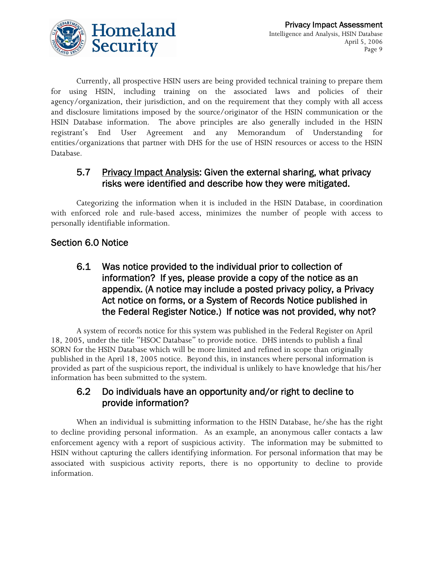

Currently, all prospective HSIN users are being provided technical training to prepare them for using HSIN, including training on the associated laws and policies of their agency/organization, their jurisdiction, and on the requirement that they comply with all access and disclosure limitations imposed by the source/originator of the HSIN communication or the HSIN Database information. The above principles are also generally included in the HSIN registrant's End User Agreement and any Memorandum of Understanding for entities/organizations that partner with DHS for the use of HSIN resources or access to the HSIN Database.

#### 5.7 Privacy Impact Analysis: Given the external sharing, what privacy risks were identified and describe how they were mitigated.

Categorizing the information when it is included in the HSIN Database, in coordination with enforced role and rule-based access, minimizes the number of people with access to personally identifiable information.

## Section 6.0 Notice

#### 6.1 Was notice provided to the individual prior to collection of information? If yes, please provide a copy of the notice as an appendix. (A notice may include a posted privacy policy, a Privacy Act notice on forms, or a System of Records Notice published in the Federal Register Notice.) If notice was not provided, why not?

A system of records notice for this system was published in the Federal Register on April 18, 2005, under the title "HSOC Database" to provide notice. DHS intends to publish a final SORN for the HSIN Database which will be more limited and refined in scope than originally published in the April 18, 2005 notice. Beyond this, in instances where personal information is provided as part of the suspicious report, the individual is unlikely to have knowledge that his/her information has been submitted to the system.

#### 6.2 Do individuals have an opportunity and/or right to decline to provide information?

When an individual is submitting information to the HSIN Database, he/she has the right to decline providing personal information. As an example, an anonymous caller contacts a law enforcement agency with a report of suspicious activity. The information may be submitted to HSIN without capturing the callers identifying information. For personal information that may be associated with suspicious activity reports, there is no opportunity to decline to provide information.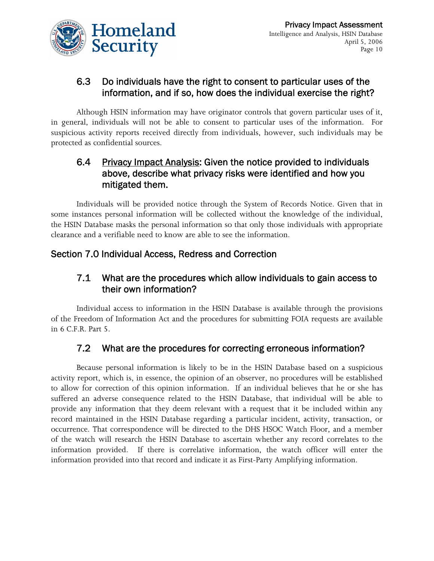

## 6.3 Do individuals have the right to consent to particular uses of the information, and if so, how does the individual exercise the right?

Although HSIN information may have originator controls that govern particular uses of it, in general, individuals will not be able to consent to particular uses of the information. For suspicious activity reports received directly from individuals, however, such individuals may be protected as confidential sources.

#### 6.4 Privacy Impact Analysis: Given the notice provided to individuals above, describe what privacy risks were identified and how you mitigated them.

Individuals will be provided notice through the System of Records Notice. Given that in some instances personal information will be collected without the knowledge of the individual, the HSIN Database masks the personal information so that only those individuals with appropriate clearance and a verifiable need to know are able to see the information.

#### Section 7.0 Individual Access, Redress and Correction

#### 7.1 What are the procedures which allow individuals to gain access to their own information?

Individual access to information in the HSIN Database is available through the provisions of the Freedom of Information Act and the procedures for submitting FOIA requests are available in 6 C.F.R. Part 5.

## 7.2 What are the procedures for correcting erroneous information?

Because personal information is likely to be in the HSIN Database based on a suspicious activity report, which is, in essence, the opinion of an observer, no procedures will be established to allow for correction of this opinion information. If an individual believes that he or she has suffered an adverse consequence related to the HSIN Database, that individual will be able to provide any information that they deem relevant with a request that it be included within any record maintained in the HSIN Database regarding a particular incident, activity, transaction, or occurrence. That correspondence will be directed to the DHS HSOC Watch Floor, and a member of the watch will research the HSIN Database to ascertain whether any record correlates to the information provided. If there is correlative information, the watch officer will enter the information provided into that record and indicate it as First-Party Amplifying information.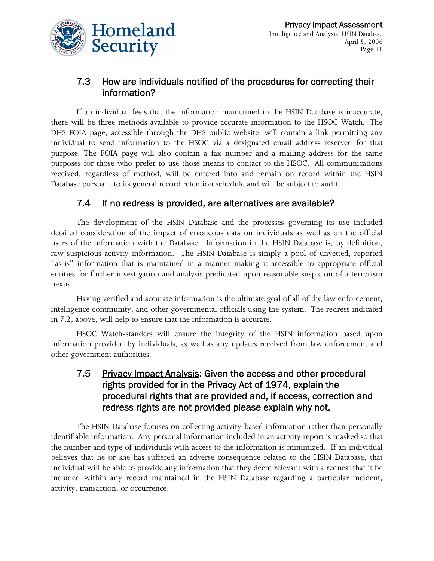

#### 7.3 How are individuals notified of the procedures for correcting their information?

If an individual feels that the information maintained in the HSIN Database is inaccurate, there will be three methods available to provide accurate information to the HSOC Watch. The DHS FOIA page, accessible through the DHS public website, will contain a link permitting any individual to send information to the HSOC via a designated email address reserved for that purpose. The FOIA page will also contain a fax number and a mailing address for the same purposes for those who prefer to use those means to contact to the HSOC. All communications received, regardless of method, will be entered into and remain on record within the HSIN Database pursuant to its general record retention schedule and will be subject to audit.

#### 7.4 If no redress is provided, are alternatives are available?

The development of the HSIN Database and the processes governing its use included detailed consideration of the impact of erroneous data on individuals as well as on the official users of the information with the Database. Information in the HSIN Database is, by definition, raw suspicious activity information. The HSIN Database is simply a pool of unvetted, reported "as-is" information that is maintained in a manner making it accessible to appropriate official entities for further investigation and analysis predicated upon reasonable suspicion of a terrorism nexus.

Having verified and accurate information is the ultimate goal of all of the law enforcement, intelligence community, and other governmental officials using the system. The redress indicated in 7.2, above, will help to ensure that the information is accurate.

HSOC Watch-standers will ensure the integrity of the HSIN information based upon information provided by individuals, as well as any updates received from law enforcement and other government authorities.

#### 7.5 Privacy Impact Analysis: Given the access and other procedural rights provided for in the Privacy Act of 1974, explain the procedural rights that are provided and, if access, correction and redress rights are not provided please explain why not.

The HSIN Database focuses on collecting activity-based information rather than personally identifiable information. Any personal information included in an activity report is masked so that the number and type of individuals with access to the information is minimized. If an individual believes that he or she has suffered an adverse consequence related to the HSIN Database, that individual will be able to provide any information that they deem relevant with a request that it be included within any record maintained in the HSIN Database regarding a particular incident, activity, transaction, or occurrence.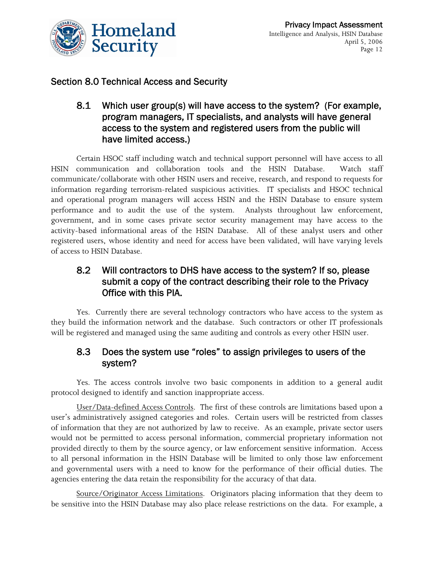

## Section 8.0 Technical Access and Security

8.1 Which user group(s) will have access to the system? (For example, program managers, IT specialists, and analysts will have general access to the system and registered users from the public will have limited access.)

Certain HSOC staff including watch and technical support personnel will have access to all HSIN communication and collaboration tools and the HSIN Database. Watch staff communicate/collaborate with other HSIN users and receive, research, and respond to requests for information regarding terrorism-related suspicious activities. IT specialists and HSOC technical and operational program managers will access HSIN and the HSIN Database to ensure system performance and to audit the use of the system. Analysts throughout law enforcement, government, and in some cases private sector security management may have access to the activity-based informational areas of the HSIN Database. All of these analyst users and other registered users, whose identity and need for access have been validated, will have varying levels of access to HSIN Database.

#### 8.2 Will contractors to DHS have access to the system? If so, please submit a copy of the contract describing their role to the Privacy Office with this PIA.

Yes. Currently there are several technology contractors who have access to the system as they build the information network and the database. Such contractors or other IT professionals will be registered and managed using the same auditing and controls as every other HSIN user.

#### 8.3 Does the system use "roles" to assign privileges to users of the system?

Yes. The access controls involve two basic components in addition to a general audit protocol designed to identify and sanction inappropriate access.

User/Data-defined Access Controls. The first of these controls are limitations based upon a user's administratively assigned categories and roles. Certain users will be restricted from classes of information that they are not authorized by law to receive. As an example, private sector users would not be permitted to access personal information, commercial proprietary information not provided directly to them by the source agency, or law enforcement sensitive information. Access to all personal information in the HSIN Database will be limited to only those law enforcement and governmental users with a need to know for the performance of their official duties. The agencies entering the data retain the responsibility for the accuracy of that data.

Source/Originator Access Limitations. Originators placing information that they deem to be sensitive into the HSIN Database may also place release restrictions on the data. For example, a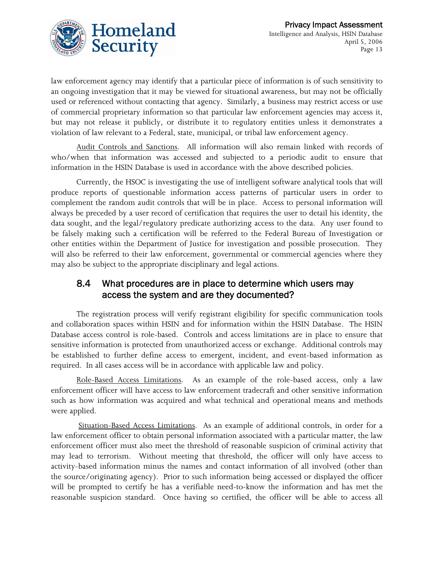

law enforcement agency may identify that a particular piece of information is of such sensitivity to an ongoing investigation that it may be viewed for situational awareness, but may not be officially used or referenced without contacting that agency. Similarly, a business may restrict access or use of commercial proprietary information so that particular law enforcement agencies may access it, but may not release it publicly, or distribute it to regulatory entities unless it demonstrates a violation of law relevant to a Federal, state, municipal, or tribal law enforcement agency.

Audit Controls and Sanctions. All information will also remain linked with records of who/when that information was accessed and subjected to a periodic audit to ensure that information in the HSIN Database is used in accordance with the above described policies.

Currently, the HSOC is investigating the use of intelligent software analytical tools that will produce reports of questionable information access patterns of particular users in order to complement the random audit controls that will be in place. Access to personal information will always be preceded by a user record of certification that requires the user to detail his identity, the data sought, and the legal/regulatory predicate authorizing access to the data. Any user found to be falsely making such a certification will be referred to the Federal Bureau of Investigation or other entities within the Department of Justice for investigation and possible prosecution. They will also be referred to their law enforcement, governmental or commercial agencies where they may also be subject to the appropriate disciplinary and legal actions.

#### 8.4 What procedures are in place to determine which users may access the system and are they documented?

The registration process will verify registrant eligibility for specific communication tools and collaboration spaces within HSIN and for information within the HSIN Database. The HSIN Database access control is role-based. Controls and access limitations are in place to ensure that sensitive information is protected from unauthorized access or exchange. Additional controls may be established to further define access to emergent, incident, and event-based information as required. In all cases access will be in accordance with applicable law and policy.

Role-Based Access Limitations. As an example of the role-based access, only a law enforcement officer will have access to law enforcement tradecraft and other sensitive information such as how information was acquired and what technical and operational means and methods were applied.

 Situation-Based Access Limitations. As an example of additional controls, in order for a law enforcement officer to obtain personal information associated with a particular matter, the law enforcement officer must also meet the threshold of reasonable suspicion of criminal activity that may lead to terrorism. Without meeting that threshold, the officer will only have access to activity-based information minus the names and contact information of all involved (other than the source/originating agency). Prior to such information being accessed or displayed the officer will be prompted to certify he has a verifiable need-to-know the information and has met the reasonable suspicion standard. Once having so certified, the officer will be able to access all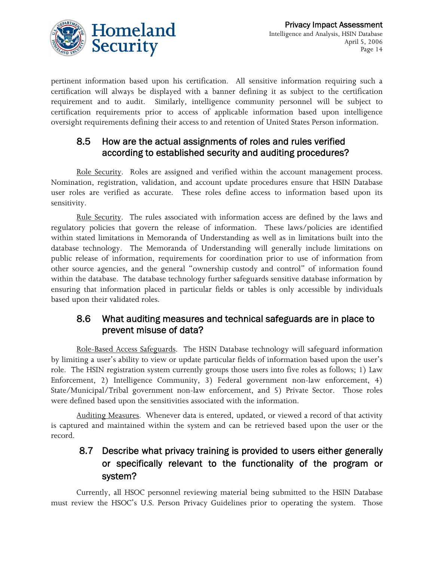

pertinent information based upon his certification. All sensitive information requiring such a certification will always be displayed with a banner defining it as subject to the certification requirement and to audit. Similarly, intelligence community personnel will be subject to certification requirements prior to access of applicable information based upon intelligence oversight requirements defining their access to and retention of United States Person information.

#### 8.5 How are the actual assignments of roles and rules verified according to established security and auditing procedures?

Role Security. Roles are assigned and verified within the account management process. Nomination, registration, validation, and account update procedures ensure that HSIN Database user roles are verified as accurate. These roles define access to information based upon its sensitivity.

Rule Security. The rules associated with information access are defined by the laws and regulatory policies that govern the release of information. These laws/policies are identified within stated limitations in Memoranda of Understanding as well as in limitations built into the database technology. The Memoranda of Understanding will generally include limitations on public release of information, requirements for coordination prior to use of information from other source agencies, and the general "ownership custody and control" of information found within the database. The database technology further safeguards sensitive database information by ensuring that information placed in particular fields or tables is only accessible by individuals based upon their validated roles.

#### 8.6 What auditing measures and technical safeguards are in place to prevent misuse of data?

Role-Based Access Safeguards. The HSIN Database technology will safeguard information by limiting a user's ability to view or update particular fields of information based upon the user's role. The HSIN registration system currently groups those users into five roles as follows; 1) Law Enforcement, 2) Intelligence Community, 3) Federal government non-law enforcement, 4) State/Municipal/Tribal government non-law enforcement, and 5) Private Sector. Those roles were defined based upon the sensitivities associated with the information.

Auditing Measures. Whenever data is entered, updated, or viewed a record of that activity is captured and maintained within the system and can be retrieved based upon the user or the record.

## 8.7 Describe what privacy training is provided to users either generally or specifically relevant to the functionality of the program or system?

Currently, all HSOC personnel reviewing material being submitted to the HSIN Database must review the HSOC's U.S. Person Privacy Guidelines prior to operating the system. Those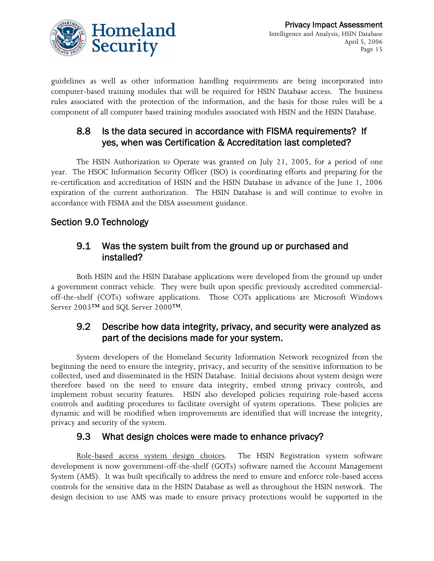

guidelines as well as other information handling requirements are being incorporated into computer-based training modules that will be required for HSIN Database access. The business rules associated with the protection of the information, and the basis for those rules will be a component of all computer based training modules associated with HSIN and the HSIN Database.

#### 8.8 Is the data secured in accordance with FISMA requirements? If yes, when was Certification & Accreditation last completed?

The HSIN Authorization to Operate was granted on July 21, 2005, for a period of one year. The HSOC Information Security Officer (ISO) is coordinating efforts and preparing for the re-certification and accreditation of HSIN and the HSIN Database in advance of the June 1, 2006 expiration of the current authorization. The HSIN Database is and will continue to evolve in accordance with FISMA and the DISA assessment guidance.

#### Section 9.0 Technology

#### 9.1 Was the system built from the ground up or purchased and installed?

Both HSIN and the HSIN Database applications were developed from the ground up under a government contract vehicle. They were built upon specific previously accredited commercialoff-the-shelf (COTs) software applications. Those COTs applications are Microsoft Windows Server 2003™ and SQL Server 2000™.

#### 9.2 Describe how data integrity, privacy, and security were analyzed as part of the decisions made for your system.

System developers of the Homeland Security Information Network recognized from the beginning the need to ensure the integrity, privacy, and security of the sensitive information to be collected, used and disseminated in the HSIN Database. Initial decisions about system design were therefore based on the need to ensure data integrity, embed strong privacy controls, and implement robust security features. HSIN also developed policies requiring role-based access controls and auditing procedures to facilitate oversight of system operations. These policies are dynamic and will be modified when improvements are identified that will increase the integrity, privacy and security of the system.

#### 9.3 What design choices were made to enhance privacy?

Role-based access system design choices. The HSIN Registration system software development is now government-off-the-shelf (GOTs) software named the Account Management System (AMS). It was built specifically to address the need to ensure and enforce role-based access controls for the sensitive data in the HSIN Database as well as throughout the HSIN network. The design decision to use AMS was made to ensure privacy protections would be supported in the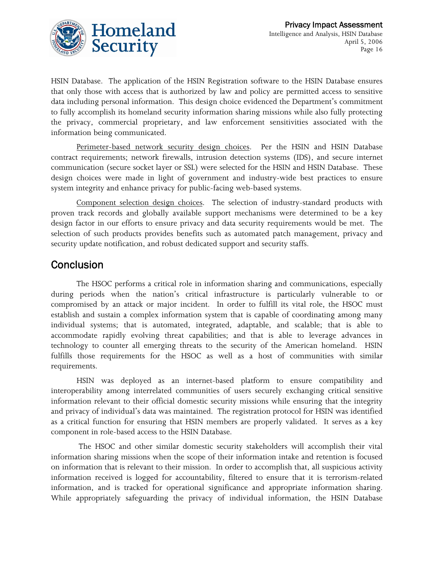

HSIN Database. The application of the HSIN Registration software to the HSIN Database ensures that only those with access that is authorized by law and policy are permitted access to sensitive data including personal information. This design choice evidenced the Department's commitment to fully accomplish its homeland security information sharing missions while also fully protecting the privacy, commercial proprietary, and law enforcement sensitivities associated with the information being communicated.

Perimeter-based network security design choices. Per the HSIN and HSIN Database contract requirements; network firewalls, intrusion detection systems (IDS), and secure internet communication (secure socket layer or SSL) were selected for the HSIN and HSIN Database. These design choices were made in light of government and industry-wide best practices to ensure system integrity and enhance privacy for public-facing web-based systems.

Component selection design choices. The selection of industry-standard products with proven track records and globally available support mechanisms were determined to be a key design factor in our efforts to ensure privacy and data security requirements would be met. The selection of such products provides benefits such as automated patch management, privacy and security update notification, and robust dedicated support and security staffs.

## Conclusion

The HSOC performs a critical role in information sharing and communications, especially during periods when the nation's critical infrastructure is particularly vulnerable to or compromised by an attack or major incident. In order to fulfill its vital role, the HSOC must establish and sustain a complex information system that is capable of coordinating among many individual systems; that is automated, integrated, adaptable, and scalable; that is able to accommodate rapidly evolving threat capabilities; and that is able to leverage advances in technology to counter all emerging threats to the security of the American homeland. HSIN fulfills those requirements for the HSOC as well as a host of communities with similar requirements.

HSIN was deployed as an internet-based platform to ensure compatibility and interoperability among interrelated communities of users securely exchanging critical sensitive information relevant to their official domestic security missions while ensuring that the integrity and privacy of individual's data was maintained. The registration protocol for HSIN was identified as a critical function for ensuring that HSIN members are properly validated. It serves as a key component in role-based access to the HSIN Database.

 The HSOC and other similar domestic security stakeholders will accomplish their vital information sharing missions when the scope of their information intake and retention is focused on information that is relevant to their mission. In order to accomplish that, all suspicious activity information received is logged for accountability, filtered to ensure that it is terrorism-related information, and is tracked for operational significance and appropriate information sharing. While appropriately safeguarding the privacy of individual information, the HSIN Database